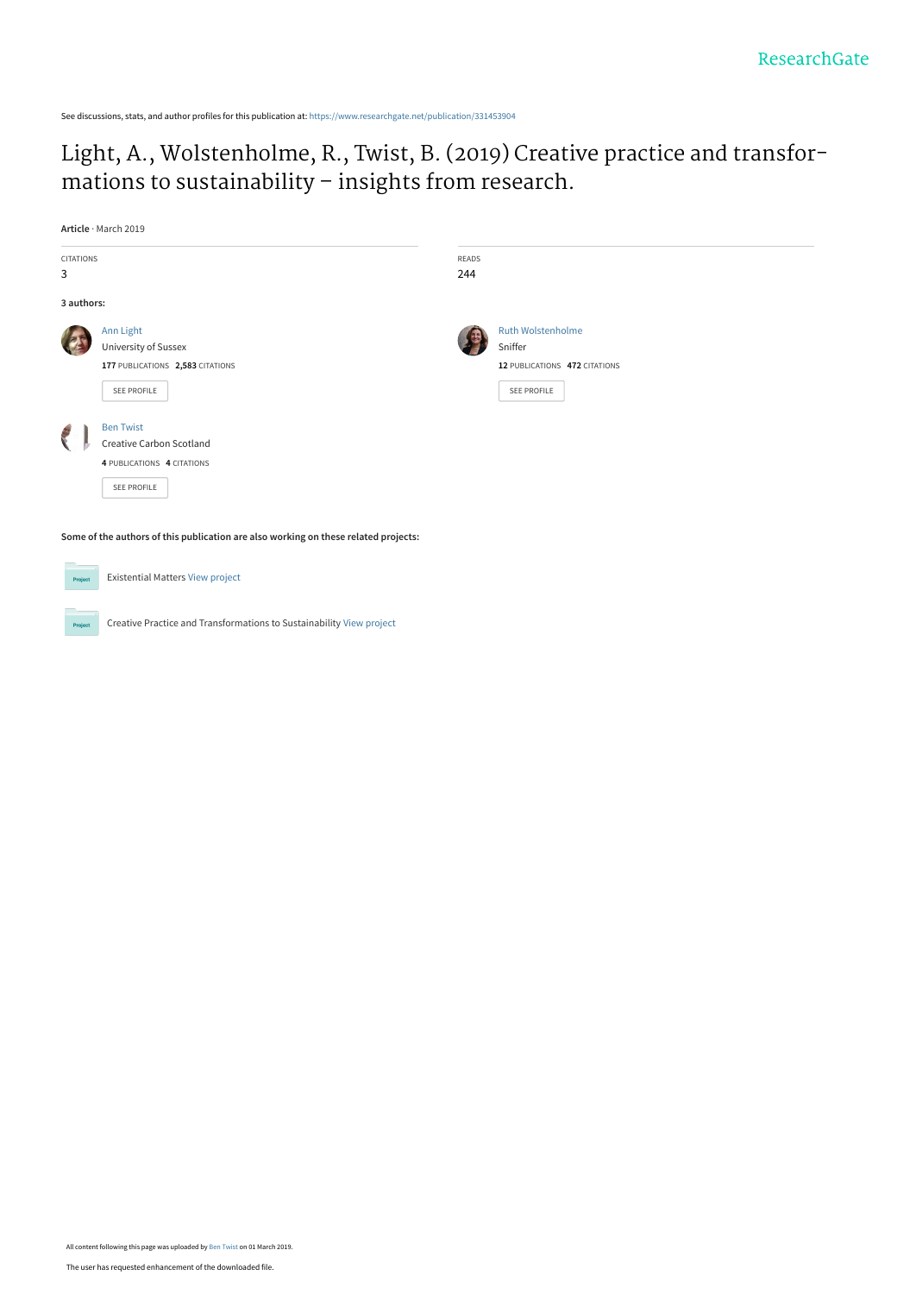See discussions, stats, and author profiles for this publication at: [https://www.researchgate.net/publication/331453904](https://www.researchgate.net/publication/331453904_Light_A_Wolstenholme_R_Twist_B_2019_Creative_practice_and_transfor-mations_to_sustainability_-_insights_from_research?enrichId=rgreq-ca83101d63a4273f75936a978517d104-XXX&enrichSource=Y292ZXJQYWdlOzMzMTQ1MzkwNDtBUzo3MzE3NjAyMjQ2NTc0MTFAMTU1MTQ3NjY0MTY5Ng%3D%3D&el=1_x_2&_esc=publicationCoverPdf)

# [Light, A., Wolstenholme, R., Twist, B. \(2019\) Creative practice and transfor](https://www.researchgate.net/publication/331453904_Light_A_Wolstenholme_R_Twist_B_2019_Creative_practice_and_transfor-mations_to_sustainability_-_insights_from_research?enrichId=rgreq-ca83101d63a4273f75936a978517d104-XXX&enrichSource=Y292ZXJQYWdlOzMzMTQ1MzkwNDtBUzo3MzE3NjAyMjQ2NTc0MTFAMTU1MTQ3NjY0MTY5Ng%3D%3D&el=1_x_3&_esc=publicationCoverPdf)mations to sustainability – insights from research.

**Article** · March 2019

| <b>CITATIONS</b><br>3                                                               |                                                                                           | READS<br>244 |                                                                                     |  |  |
|-------------------------------------------------------------------------------------|-------------------------------------------------------------------------------------------|--------------|-------------------------------------------------------------------------------------|--|--|
| 3 authors:                                                                          |                                                                                           |              |                                                                                     |  |  |
|                                                                                     | Ann Light<br>University of Sussex<br>177 PUBLICATIONS 2,583 CITATIONS<br>SEE PROFILE      |              | <b>Ruth Wolstenholme</b><br>Sniffer<br>12 PUBLICATIONS 472 CITATIONS<br>SEE PROFILE |  |  |
|                                                                                     | <b>Ben Twist</b><br>Creative Carbon Scotland<br>4 PUBLICATIONS 4 CITATIONS<br>SEE PROFILE |              |                                                                                     |  |  |
| Some of the authors of this publication are also working on these related projects: |                                                                                           |              |                                                                                     |  |  |
| Project                                                                             | <b>Existential Matters View project</b>                                                   |              |                                                                                     |  |  |

Creative Practice and Transformations to Sustainability [View project](https://www.researchgate.net/project/Creative-Practice-and-Transformations-to-Sustainability?enrichId=rgreq-ca83101d63a4273f75936a978517d104-XXX&enrichSource=Y292ZXJQYWdlOzMzMTQ1MzkwNDtBUzo3MzE3NjAyMjQ2NTc0MTFAMTU1MTQ3NjY0MTY5Ng%3D%3D&el=1_x_9&_esc=publicationCoverPdf)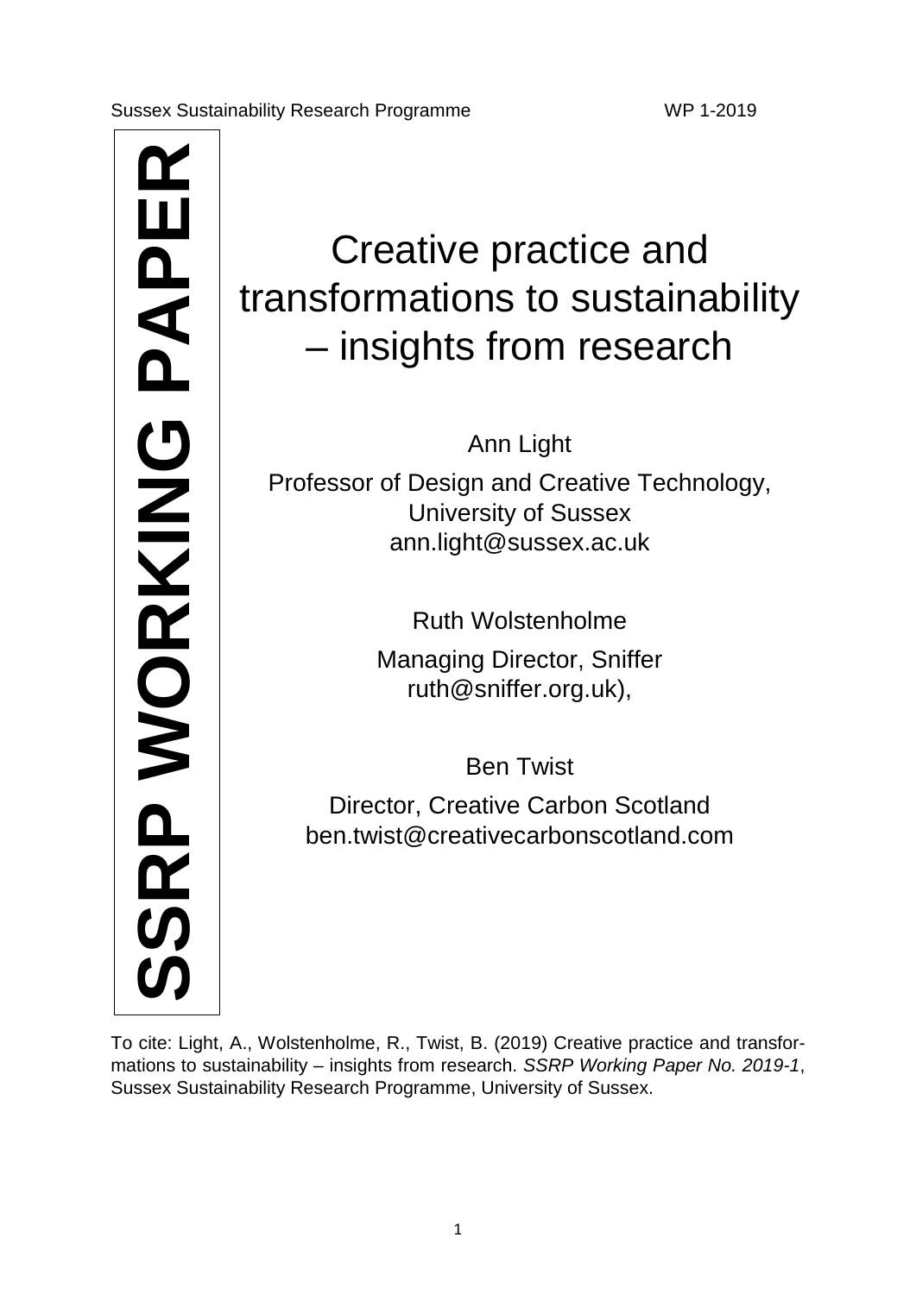Creative practice a<br>
transformations to sustate<br>
— insights from rese.<br>
Ann Light<br>
Professor of Design and Creative Te<br>
University of Sussex.<br>
ann.light@sussex.ac.uk<br>
Ruth Wolstenholme<br>
Managing Director, Sniffer<br>
The Turk

# Creative practice and transformations to sustainability – insights from research

Ann Light

Professor of Design and Creative Technology, University of Sussex ann.light@sussex.ac.uk

Ruth Wolstenholme

Managing Director, Sniffer ruth@sniffer.org.uk),

Ben Twist

Director, Creative Carbon Scotland ben.twist@creativecarbonscotland.com

To cite: Light, A., Wolstenholme, R., Twist, B. (2019) Creative practice and transformations to sustainability – insights from research. *SSRP Working Paper No. 2019-1*,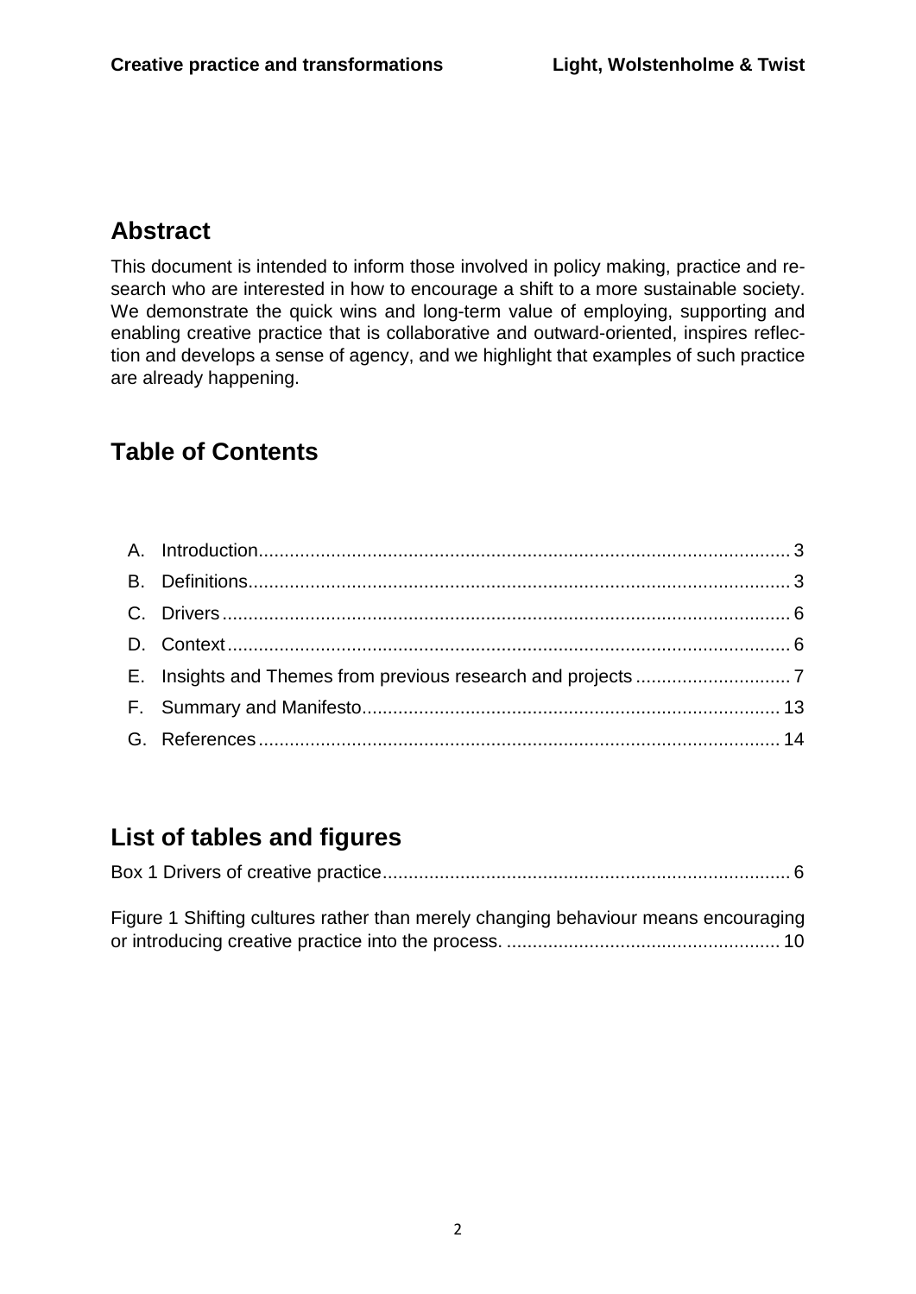# **Abstract**

This document is intended to inform those involved in policy making, practice and research who are interested in how to encourage a shift to a more sustainable society. We demonstrate the quick wins and long-term value of employing, supporting and enabling creative practice that is collaborative and outward-oriented, inspires reflection and develops a sense of agency, and we highlight that examples of such practice are already happening.

# **Table of Contents**

# **List of tables and figures**

|--|--|

[Figure 1 Shifting cultures rather than merely changing behaviour means encouraging](#page-10-0)  [or introducing creative practice into the process.](#page-10-0) ..................................................... 10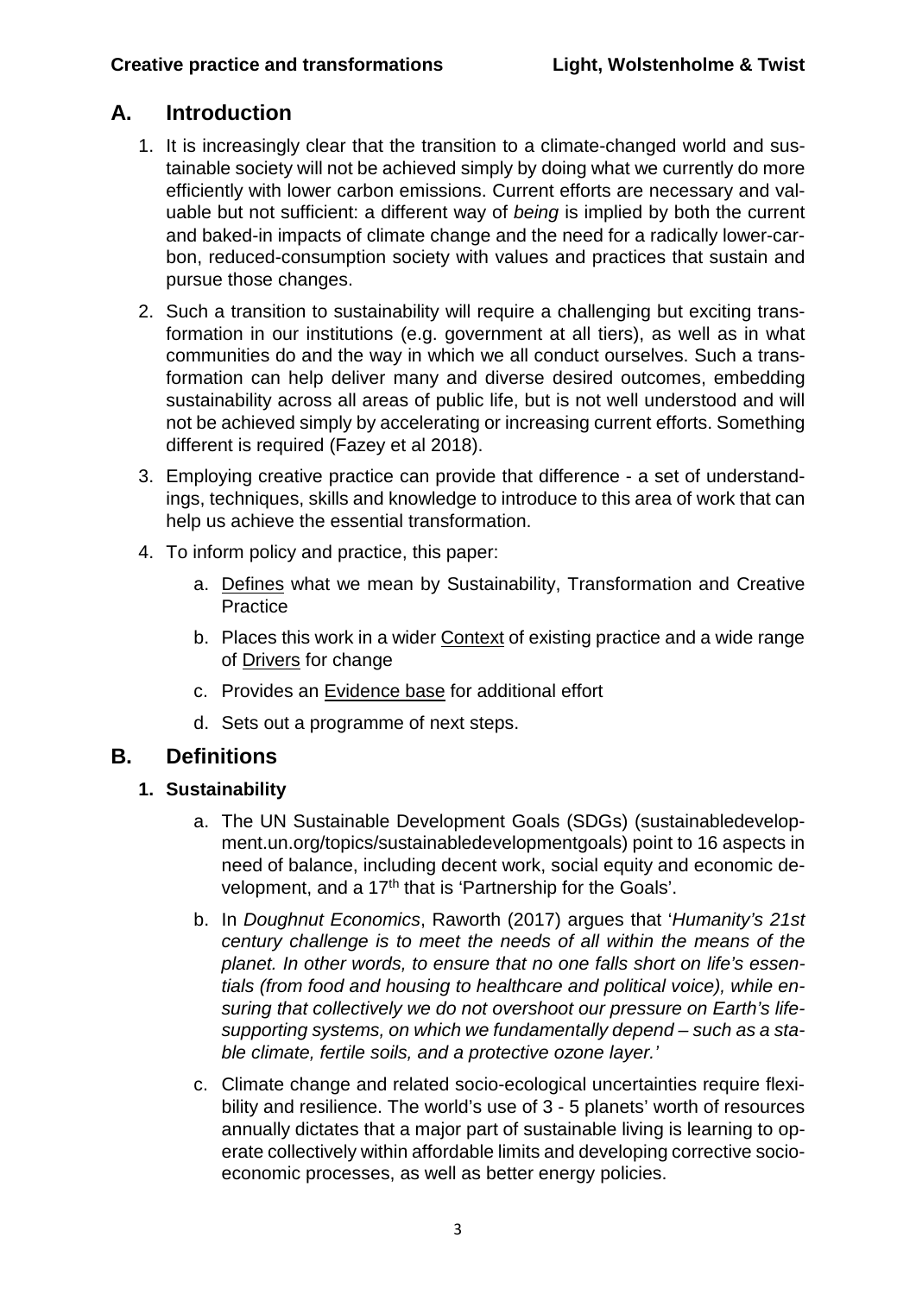# <span id="page-3-0"></span>**A. Introduction**

- 1. It is increasingly clear that the transition to a climate-changed world and sustainable society will not be achieved simply by doing what we currently do more efficiently with lower carbon emissions. Current efforts are necessary and valuable but not sufficient: a different way of *being* is implied by both the current and baked-in impacts of climate change and the need for a radically lower-carbon, reduced-consumption society with values and practices that sustain and pursue those changes.
- 2. Such a transition to sustainability will require a challenging but exciting transformation in our institutions (e.g. government at all tiers), as well as in what communities do and the way in which we all conduct ourselves. Such a transformation can help deliver many and diverse desired outcomes, embedding sustainability across all areas of public life, but is not well understood and will not be achieved simply by accelerating or increasing current efforts. Something different is required (Fazey et al 2018).
- 3. Employing creative practice can provide that difference a set of understandings, techniques, skills and knowledge to introduce to this area of work that can help us achieve the essential transformation.
- 4. To inform policy and practice, this paper:
	- a. [Defines](#page-3-2) what we mean by Sustainability, Transformation and Creative **Practice**
	- b. Places this work in a wider [Context](#page-6-1) of existing practice and a wide range of [Drivers](#page-6-0) for change
	- c. Provides an [Evidence base](#page-7-0) for additional effort
	- d. Sets out a programme of next steps.

#### <span id="page-3-1"></span>**B. Definitions**

#### **1. Sustainability**

- <span id="page-3-2"></span>a. The UN Sustainable Development Goals (SDGs) (sustainabledevelopment.un.org/topics/sustainabledevelopmentgoals) point to 16 aspects in need of balance, including decent work, social equity and economic development, and a 17<sup>th</sup> that is 'Partnership for the Goals'.
- b. In *Doughnut Economics*, Raworth (2017) argues that '*Humanity's 21st century challenge is to meet the needs of all within the means of the planet. In other words, to ensure that no one falls short on life's essentials (from food and housing to healthcare and political voice), while ensuring that collectively we do not overshoot our pressure on Earth's lifesupporting systems, on which we fundamentally depend – such as a stable climate, fertile soils, and a protective ozone layer.'*
- c. Climate change and related socio-ecological uncertainties require flexibility and resilience. The world's use of 3 - 5 planets' worth of resources annually dictates that a major part of sustainable living is learning to operate collectively within affordable limits and developing corrective socioeconomic processes, as well as better energy policies.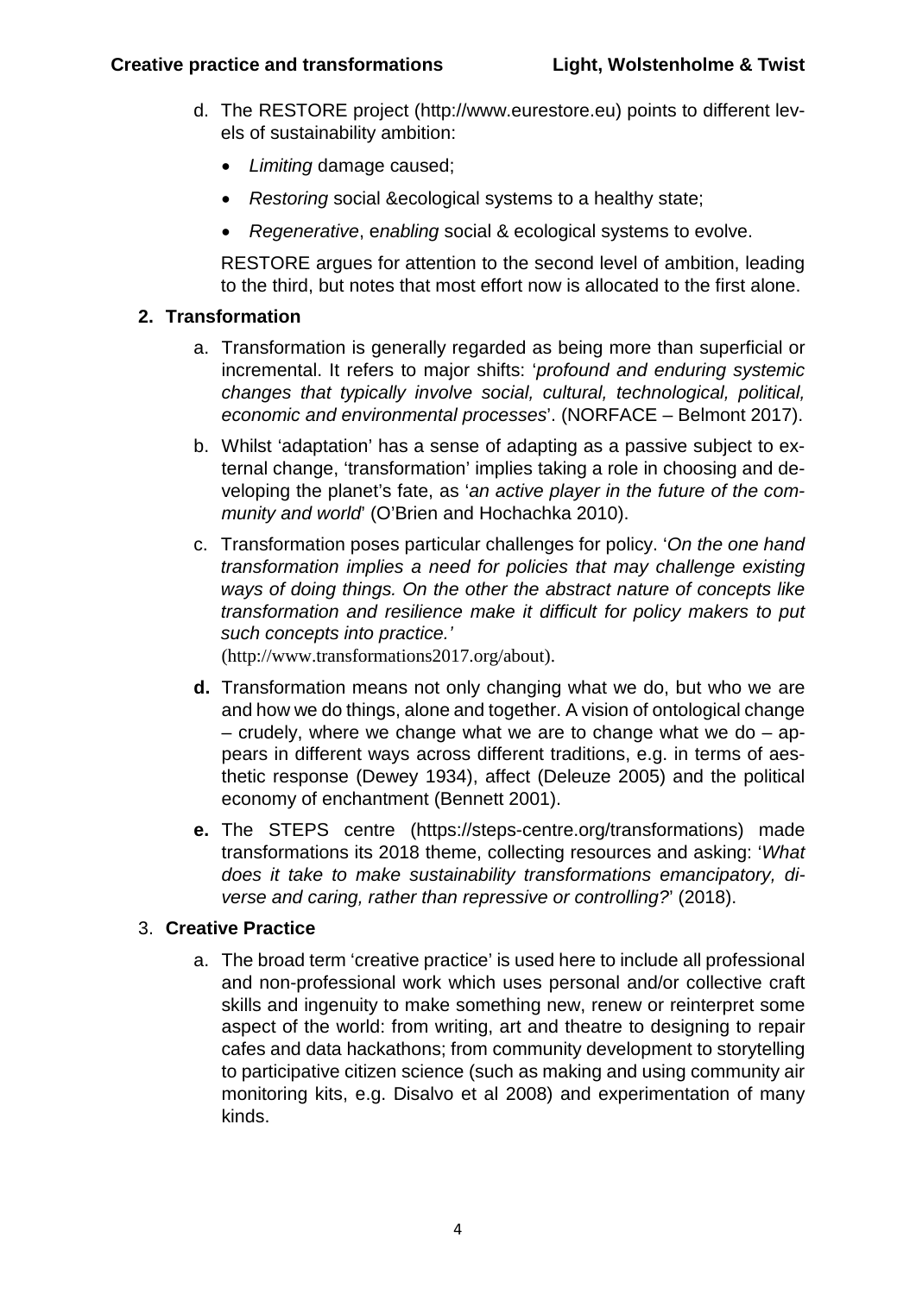- d. The RESTORE project (http://www.eurestore.eu) points to different levels of sustainability ambition:
	- *Limiting* damage caused;
	- *Restoring* social &ecological systems to a healthy state;
	- *Regenerative*, e*nabling* social & ecological systems to evolve.

RESTORE argues for attention to the second level of ambition, leading to the third, but notes that most effort now is allocated to the first alone.

#### **2. Transformation**

- a. Transformation is generally regarded as being more than superficial or incremental. It refers to major shifts: '*profound and enduring systemic changes that typically involve social, cultural, technological, political, economic and environmental processes*'. (NORFACE – Belmont 2017).
- b. Whilst 'adaptation' has a sense of adapting as a passive subject to external change, 'transformation' implies taking a role in choosing and developing the planet's fate, as '*an active player in the future of the community and world*' (O'Brien and Hochachka 2010).
- c. Transformation poses particular challenges for policy. '*On the one hand transformation implies a need for policies that may challenge existing ways of doing things. On the other the abstract nature of concepts like transformation and resilience make it difficult for policy makers to put such concepts into practice.'*

(http://www.transformations2017.org/about).

- **d.** Transformation means not only changing what we do, but who we are and how we do things, alone and together. A vision of ontological change – crudely, where we change what we are to change what we do – appears in different ways across different traditions, e.g. in terms of aesthetic response (Dewey 1934), affect (Deleuze 2005) and the political economy of enchantment (Bennett 2001).
- **e.** The STEPS centre (https://steps-centre.org/transformations) made transformations its 2018 theme, collecting resources and asking: '*What does it take to make sustainability transformations emancipatory, diverse and caring, rather than repressive or controlling?*' (2018).

#### 3. **Creative Practice**

a. The broad term 'creative practice' is used here to include all professional and non-professional work which uses personal and/or collective craft skills and ingenuity to make something new, renew or reinterpret some aspect of the world: from writing, art and theatre to designing to repair cafes and data hackathons; from community development to storytelling to participative citizen science (such as making and using community air monitoring kits, e.g. Disalvo et al 2008) and experimentation of many kinds.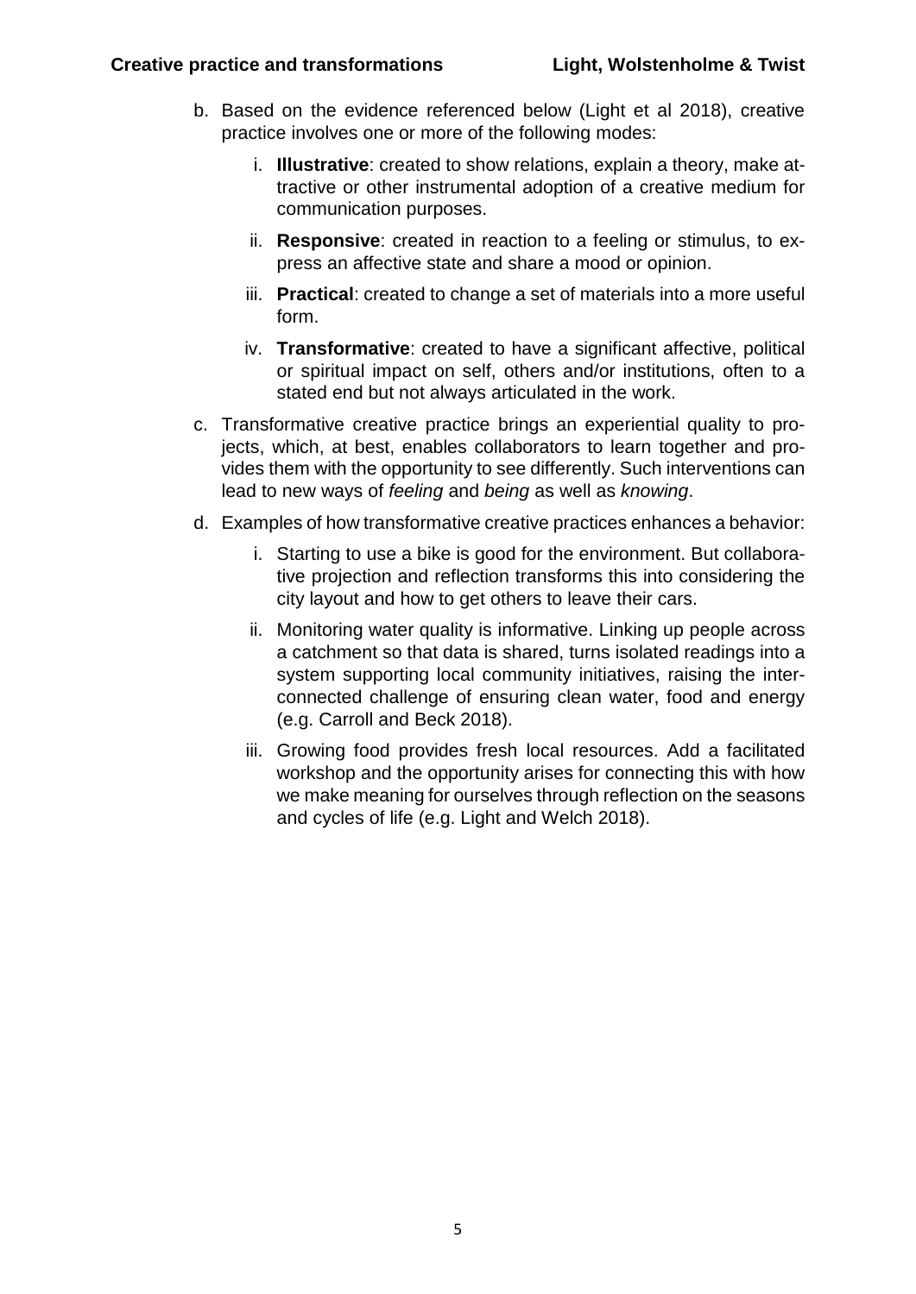- b. Based on the evidence referenced below (Light et al 2018), creative practice involves one or more of the following modes:
	- i. **Illustrative**: created to show relations, explain a theory, make attractive or other instrumental adoption of a creative medium for communication purposes.
	- ii. **Responsive**: created in reaction to a feeling or stimulus, to express an affective state and share a mood or opinion.
	- iii. **Practical**: created to change a set of materials into a more useful form.
	- iv. **Transformative**: created to have a significant affective, political or spiritual impact on self, others and/or institutions, often to a stated end but not always articulated in the work.
- c. Transformative creative practice brings an experiential quality to projects, which, at best, enables collaborators to learn together and provides them with the opportunity to see differently. Such interventions can lead to new ways of *feeling* and *being* as well as *knowing*.
- d. Examples of how transformative creative practices enhances a behavior:
	- i. Starting to use a bike is good for the environment. But collaborative projection and reflection transforms this into considering the city layout and how to get others to leave their cars.
	- ii. Monitoring water quality is informative. Linking up people across a catchment so that data is shared, turns isolated readings into a system supporting local community initiatives, raising the interconnected challenge of ensuring clean water, food and energy (e.g. Carroll and Beck 2018).
	- iii. Growing food provides fresh local resources. Add a facilitated workshop and the opportunity arises for connecting this with how we make meaning for ourselves through reflection on the seasons and cycles of life (e.g. Light and Welch 2018).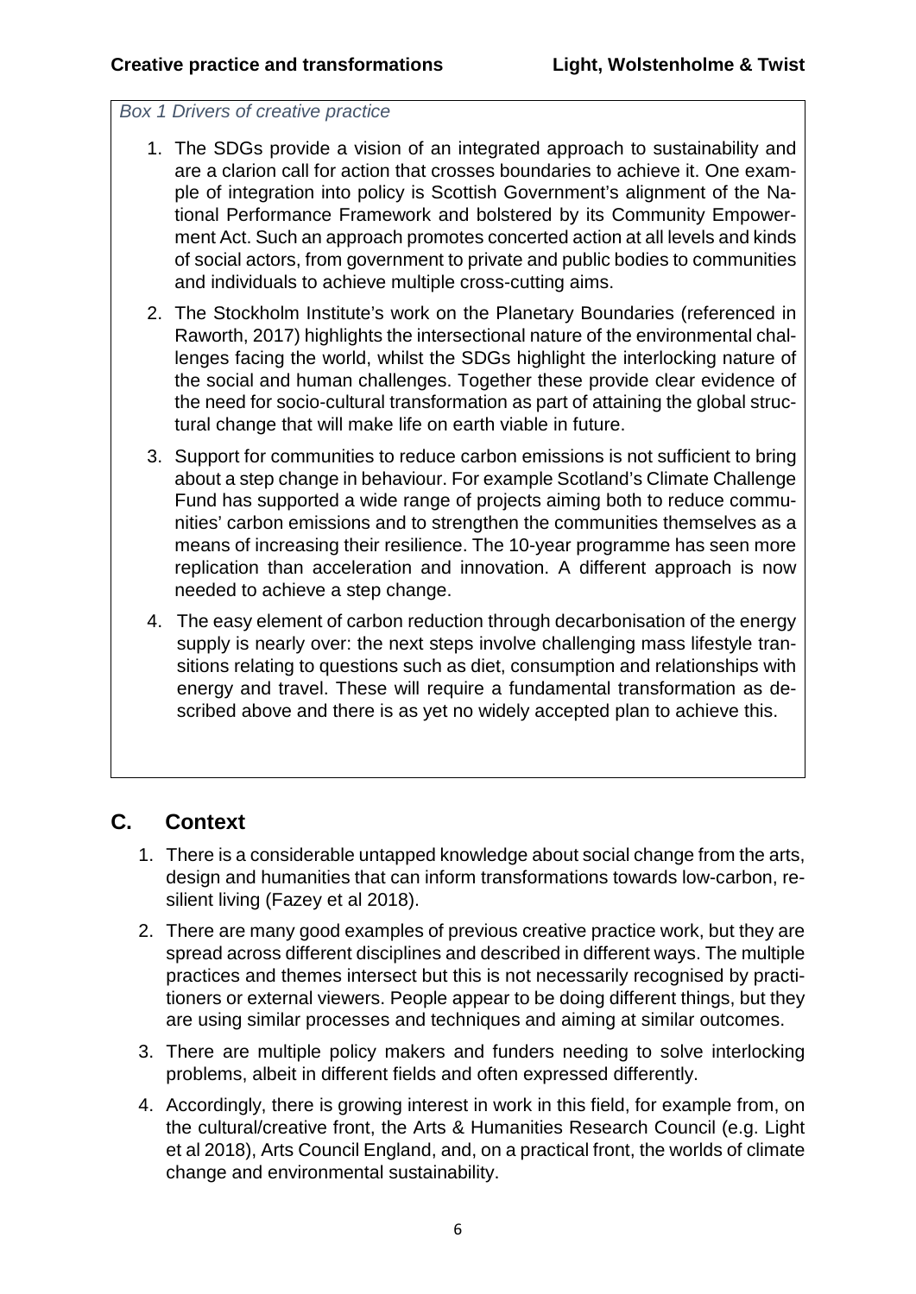#### <span id="page-6-0"></span>*Box 1 Drivers of creative practice*

- 1. The SDGs provide a vision of an integrated approach to sustainability and are a clarion call for action that crosses boundaries to achieve it. One example of integration into policy is Scottish Government's alignment of the National Performance Framework and bolstered by its Community Empowerment Act. Such an approach promotes concerted action at all levels and kinds of social actors, from government to private and public bodies to communities and individuals to achieve multiple cross-cutting aims.
- 2. The Stockholm Institute's work on the Planetary Boundaries (referenced in Raworth, 2017) highlights the intersectional nature of the environmental challenges facing the world, whilst the SDGs highlight the interlocking nature of the social and human challenges. Together these provide clear evidence of the need for socio-cultural transformation as part of attaining the global structural change that will make life on earth viable in future.
- 3. Support for communities to reduce carbon emissions is not sufficient to bring about a step change in behaviour. For example Scotland's Climate Challenge Fund has supported a wide range of projects aiming both to reduce communities' carbon emissions and to strengthen the communities themselves as a means of increasing their resilience. The 10-year programme has seen more replication than acceleration and innovation. A different approach is now needed to achieve a step change.
- 4. The easy element of carbon reduction through decarbonisation of the energy supply is nearly over: the next steps involve challenging mass lifestyle transitions relating to questions such as diet, consumption and relationships with energy and travel. These will require a fundamental transformation as described above and there is as yet no widely accepted plan to achieve this.

# <span id="page-6-1"></span>**C. Context**

- 1. There is a considerable untapped knowledge about social change from the arts, design and humanities that can inform transformations towards low-carbon, resilient living (Fazey et al 2018).
- 2. There are many good examples of previous creative practice work, but they are spread across different disciplines and described in different ways. The multiple practices and themes intersect but this is not necessarily recognised by practitioners or external viewers. People appear to be doing different things, but they are using similar processes and techniques and aiming at similar outcomes.
- 3. There are multiple policy makers and funders needing to solve interlocking problems, albeit in different fields and often expressed differently.
- 4. Accordingly, there is growing interest in work in this field, for example from, on the cultural/creative front, the Arts & Humanities Research Council (e.g. Light et al 2018), Arts Council England, and, on a practical front, the worlds of climate change and environmental sustainability.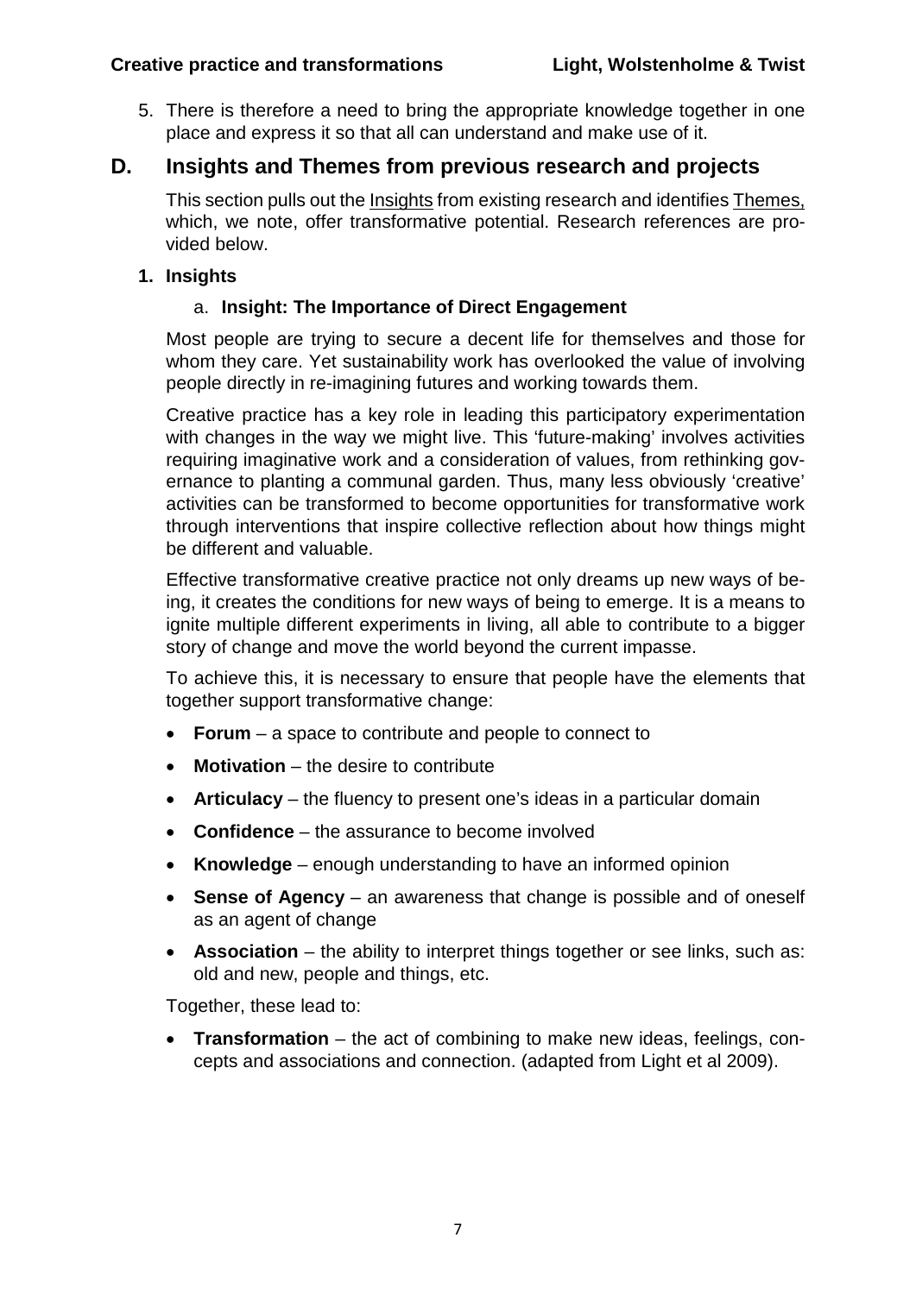5. There is therefore a need to bring the appropriate knowledge together in one place and express it so that all can understand and make use of it.

## <span id="page-7-0"></span>**D. Insights and Themes from previous research and projects**

This section pulls out the [Insights](#page-7-1) from existing research and identifie[s Themes,](#page-10-1) which, we note, offer transformative potential. Research references are provided below.

#### <span id="page-7-1"></span>**1. Insights**

#### a. **Insight: The Importance of Direct Engagement**

Most people are trying to secure a decent life for themselves and those for whom they care. Yet sustainability work has overlooked the value of involving people directly in re-imagining futures and working towards them.

Creative practice has a key role in leading this participatory experimentation with changes in the way we might live. This 'future-making' involves activities requiring imaginative work and a consideration of values, from rethinking governance to planting a communal garden. Thus, many less obviously 'creative' activities can be transformed to become opportunities for transformative work through interventions that inspire collective reflection about how things might be different and valuable.

Effective transformative creative practice not only dreams up new ways of being, it creates the conditions for new ways of being to emerge. It is a means to ignite multiple different experiments in living, all able to contribute to a bigger story of change and move the world beyond the current impasse.

To achieve this, it is necessary to ensure that people have the elements that together support transformative change:

- **Forum** a space to contribute and people to connect to
- **Motivation** the desire to contribute
- **Articulacy** the fluency to present one's ideas in a particular domain
- **Confidence** the assurance to become involved
- **Knowledge** enough understanding to have an informed opinion
- **Sense of Agency** an awareness that change is possible and of oneself as an agent of change
- **Association** the ability to interpret things together or see links, such as: old and new, people and things, etc.

Together, these lead to:

**Transformation** – the act of combining to make new ideas, feelings, concepts and associations and connection. (adapted from Light et al 2009).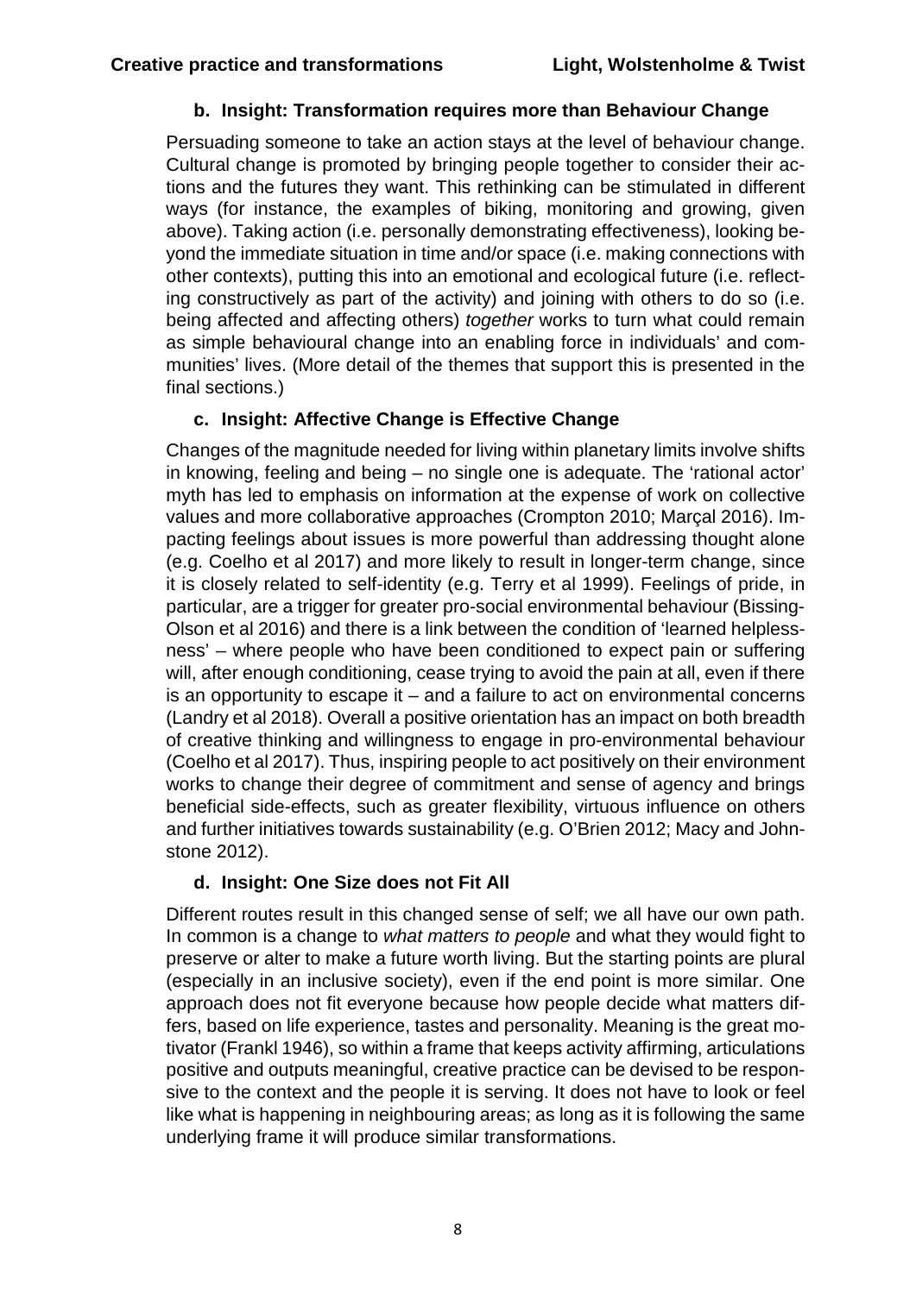#### **b. Insight: Transformation requires more than Behaviour Change**

Persuading someone to take an action stays at the level of behaviour change. Cultural change is promoted by bringing people together to consider their actions and the futures they want. This rethinking can be stimulated in different ways (for instance, the examples of biking, monitoring and growing, given above). Taking action (i.e. personally demonstrating effectiveness), looking beyond the immediate situation in time and/or space (i.e. making connections with other contexts), putting this into an emotional and ecological future (i.e. reflecting constructively as part of the activity) and joining with others to do so (i.e. being affected and affecting others) *together* works to turn what could remain as simple behavioural change into an enabling force in individuals' and communities' lives. (More detail of the themes that support this is presented in the final sections.)

#### **c. Insight: Affective Change is Effective Change**

Changes of the magnitude needed for living within planetary limits involve shifts in knowing, feeling and being – no single one is adequate. The 'rational actor' myth has led to emphasis on information at the expense of work on collective values and more collaborative approaches (Crompton 2010; Marçal 2016). Impacting feelings about issues is more powerful than addressing thought alone (e.g. Coelho et al 2017) and more likely to result in longer-term change, since it is closely related to self-identity (e.g. Terry et al 1999). Feelings of pride, in particular, are a trigger for greater pro-social environmental behaviour (Bissing-Olson et al 2016) and there is a link between the condition of 'learned helplessness' – where people who have been conditioned to expect pain or suffering will, after enough conditioning, cease trying to avoid the pain at all, even if there is an opportunity to escape it – and a failure to act on environmental concerns (Landry et al 2018). Overall a positive orientation has an impact on both breadth of creative thinking and willingness to engage in pro-environmental behaviour (Coelho et al 2017). Thus, inspiring people to act positively on their environment works to change their degree of commitment and sense of agency and brings beneficial side-effects, such as greater flexibility, virtuous influence on others and further initiatives towards sustainability (e.g. O'Brien 2012; Macy and Johnstone 2012).

#### **d. Insight: One Size does not Fit All**

Different routes result in this changed sense of self; we all have our own path. In common is a change to *what matters to people* and what they would fight to preserve or alter to make a future worth living. But the starting points are plural (especially in an inclusive society), even if the end point is more similar. One approach does not fit everyone because how people decide what matters differs, based on life experience, tastes and personality. Meaning is the great motivator (Frankl 1946), so within a frame that keeps activity affirming, articulations positive and outputs meaningful, creative practice can be devised to be responsive to the context and the people it is serving. It does not have to look or feel like what is happening in neighbouring areas; as long as it is following the same underlying frame it will produce similar transformations.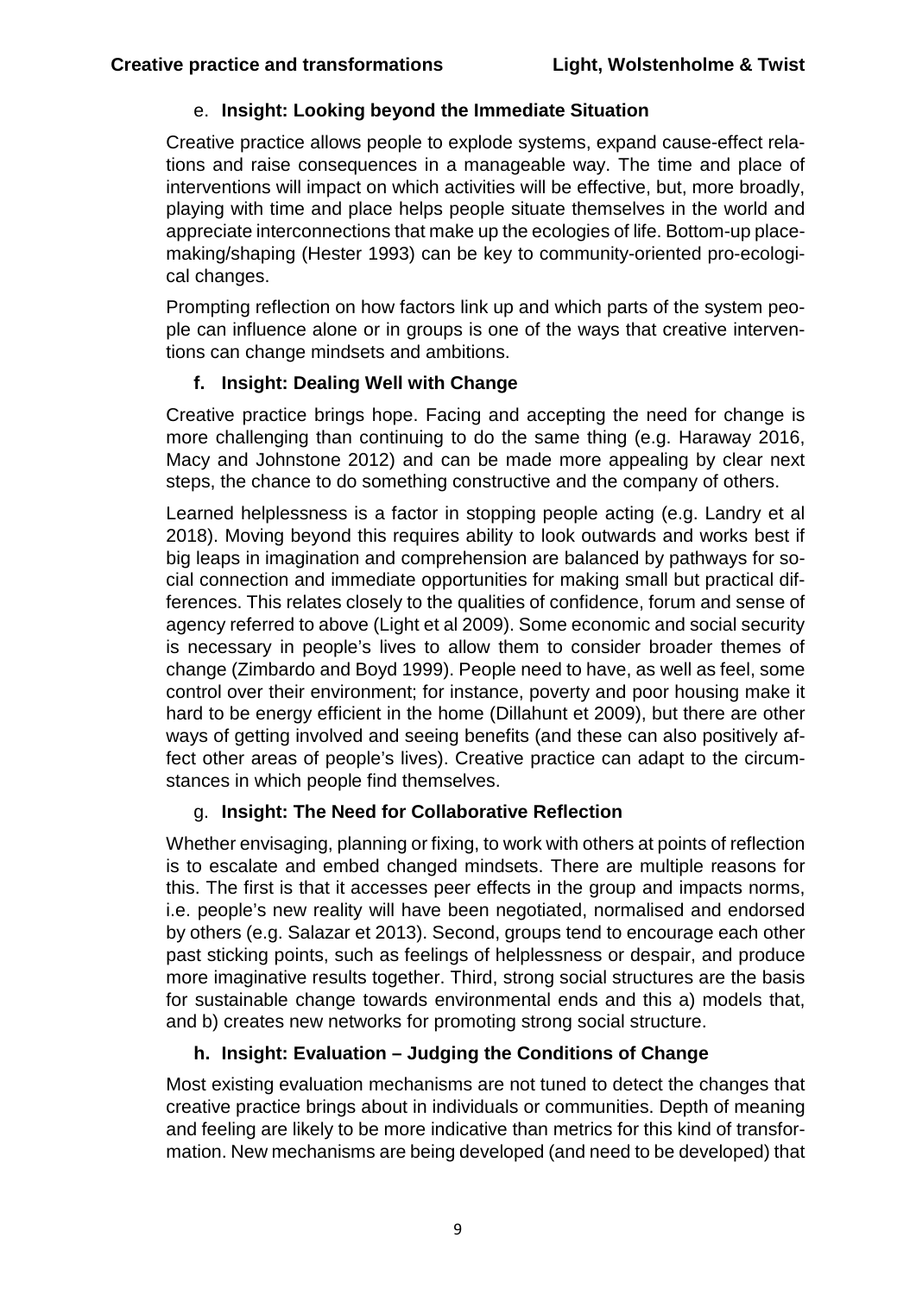#### e. **Insight: Looking beyond the Immediate Situation**

Creative practice allows people to explode systems, expand cause-effect relations and raise consequences in a manageable way. The time and place of interventions will impact on which activities will be effective, but, more broadly, playing with time and place helps people situate themselves in the world and appreciate interconnections that make up the ecologies of life. Bottom-up placemaking/shaping (Hester 1993) can be key to community-oriented pro-ecological changes.

Prompting reflection on how factors link up and which parts of the system people can influence alone or in groups is one of the ways that creative interventions can change mindsets and ambitions.

#### **f. Insight: Dealing Well with Change**

Creative practice brings hope. Facing and accepting the need for change is more challenging than continuing to do the same thing (e.g. Haraway 2016, Macy and Johnstone 2012) and can be made more appealing by clear next steps, the chance to do something constructive and the company of others.

Learned helplessness is a factor in stopping people acting (e.g. Landry et al 2018). Moving beyond this requires ability to look outwards and works best if big leaps in imagination and comprehension are balanced by pathways for social connection and immediate opportunities for making small but practical differences. This relates closely to the qualities of confidence, forum and sense of agency referred to above (Light et al 2009). Some economic and social security is necessary in people's lives to allow them to consider broader themes of change (Zimbardo and Boyd 1999). People need to have, as well as feel, some control over their environment; for instance, poverty and poor housing make it hard to be energy efficient in the home (Dillahunt et 2009), but there are other ways of getting involved and seeing benefits (and these can also positively affect other areas of people's lives). Creative practice can adapt to the circumstances in which people find themselves.

#### g. **Insight: The Need for Collaborative Reflection**

Whether envisaging, planning or fixing, to work with others at points of reflection is to escalate and embed changed mindsets. There are multiple reasons for this. The first is that it accesses peer effects in the group and impacts norms, i.e. people's new reality will have been negotiated, normalised and endorsed by others (e.g. Salazar et 2013). Second, groups tend to encourage each other past sticking points, such as feelings of helplessness or despair, and produce more imaginative results together. Third, strong social structures are the basis for sustainable change towards environmental ends and this a) models that, and b) creates new networks for promoting strong social structure.

#### **h. Insight: Evaluation – Judging the Conditions of Change**

Most existing evaluation mechanisms are not tuned to detect the changes that creative practice brings about in individuals or communities. Depth of meaning and feeling are likely to be more indicative than metrics for this kind of transformation. New mechanisms are being developed (and need to be developed) that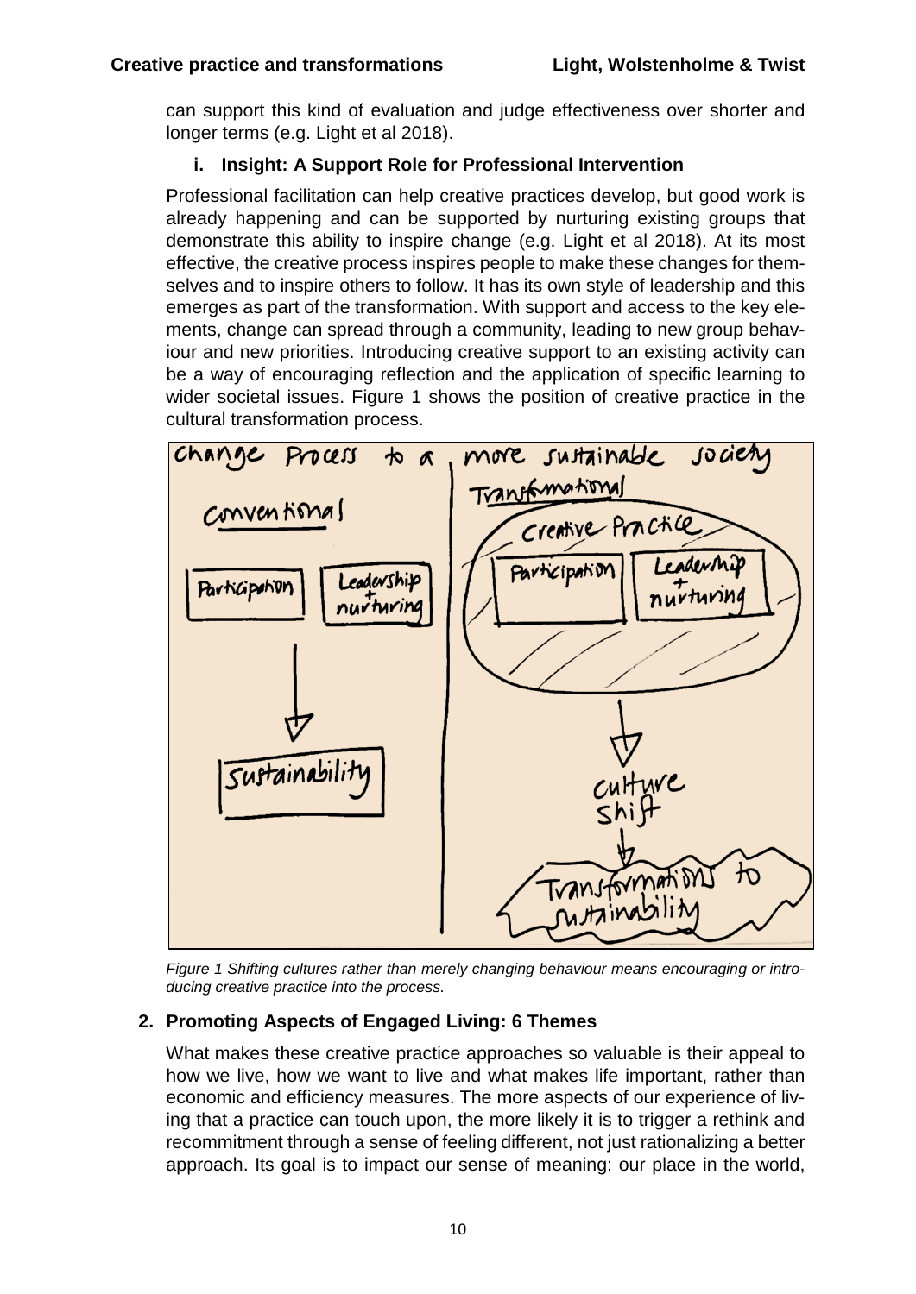can support this kind of evaluation and judge effectiveness over shorter and longer terms (e.g. Light et al 2018).

## <span id="page-10-1"></span>**i. Insight: A Support Role for Professional Intervention**

Professional facilitation can help creative practices develop, but good work is already happening and can be supported by nurturing existing groups that demonstrate this ability to inspire change (e.g. Light et al 2018). At its most effective, the creative process inspires people to make these changes for themselves and to inspire others to follow. It has its own style of leadership and this emerges as part of the transformation. With support and access to the key elements, change can spread through a community, leading to new group behaviour and new priorities. Introducing creative support to an existing activity can be a way of encouraging reflection and the application of specific learning to wider societal issues. Figure 1 shows the position of creative practice in the cultural transformation process.



*Figure 1 Shifting cultures rather than merely changing behaviour means encouraging or introducing creative practice into the process.*

# <span id="page-10-0"></span>**2. Promoting Aspects of Engaged Living: 6 Themes**

What makes these creative practice approaches so valuable is their appeal to how we live, how we want to live and what makes life important, rather than economic and efficiency measures. The more aspects of our experience of living that a practice can touch upon, the more likely it is to trigger a rethink and recommitment through a sense of feeling different, not just rationalizing a better approach. Its goal is to impact our sense of meaning: our place in the world,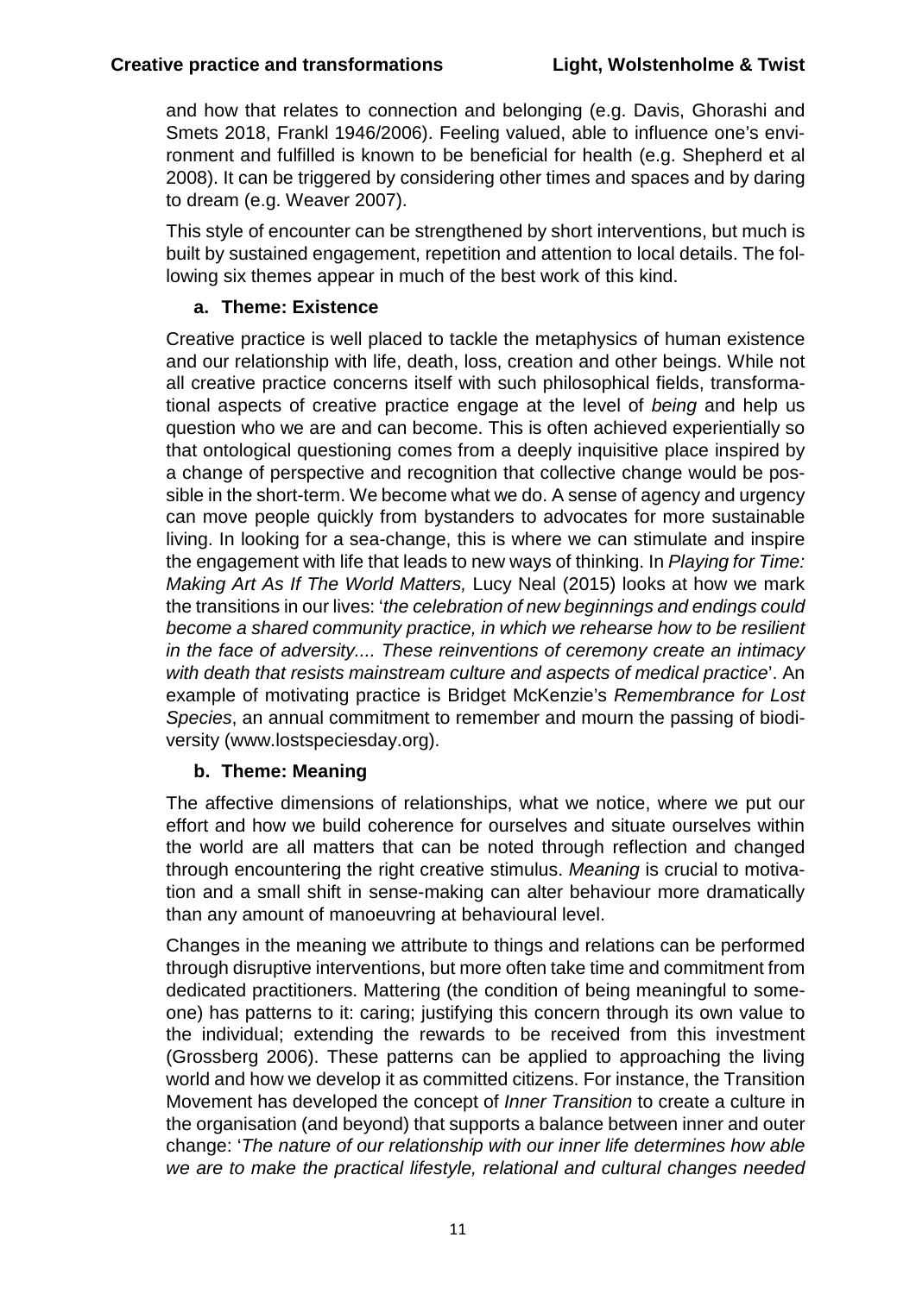and how that relates to connection and belonging (e.g. Davis, Ghorashi and Smets 2018, Frankl 1946/2006). Feeling valued, able to influence one's environment and fulfilled is known to be beneficial for health (e.g. Shepherd et al 2008). It can be triggered by considering other times and spaces and by daring to dream (e.g. Weaver 2007).

This style of encounter can be strengthened by short interventions, but much is built by sustained engagement, repetition and attention to local details. The following six themes appear in much of the best work of this kind.

#### **a. Theme: Existence**

Creative practice is well placed to tackle the metaphysics of human existence and our relationship with life, death, loss, creation and other beings. While not all creative practice concerns itself with such philosophical fields, transformational aspects of creative practice engage at the level of *being* and help us question who we are and can become. This is often achieved experientially so that ontological questioning comes from a deeply inquisitive place inspired by a change of perspective and recognition that collective change would be possible in the short-term. We become what we do. A sense of agency and urgency can move people quickly from bystanders to advocates for more sustainable living. In looking for a sea-change, this is where we can stimulate and inspire the engagement with life that leads to new ways of thinking. In *Playing for Time: Making Art As If The World Matters,* Lucy Neal (2015) looks at how we mark the transitions in our lives: '*the celebration of new beginnings and endings could become a shared community practice, in which we rehearse how to be resilient in the face of adversity.... These reinventions of ceremony create an intimacy with death that resists mainstream culture and aspects of medical practice*'. An example of motivating practice is Bridget McKenzie's *Remembrance for Lost Species*, an annual commitment to remember and mourn the passing of biodiversity (www.lostspeciesday.org).

#### **b. Theme: Meaning**

The affective dimensions of relationships, what we notice, where we put our effort and how we build coherence for ourselves and situate ourselves within the world are all matters that can be noted through reflection and changed through encountering the right creative stimulus. *Meaning* is crucial to motivation and a small shift in sense-making can alter behaviour more dramatically than any amount of manoeuvring at behavioural level.

Changes in the meaning we attribute to things and relations can be performed through disruptive interventions, but more often take time and commitment from dedicated practitioners. Mattering (the condition of being meaningful to someone) has patterns to it: caring; justifying this concern through its own value to the individual; extending the rewards to be received from this investment (Grossberg 2006). These patterns can be applied to approaching the living world and how we develop it as committed citizens. For instance, the Transition Movement has developed the concept of *Inner Transition* to create a culture in the organisation (and beyond) that supports a balance between inner and outer change: '*The nature of our relationship with our inner life determines how able we are to make the practical lifestyle, relational and cultural changes needed*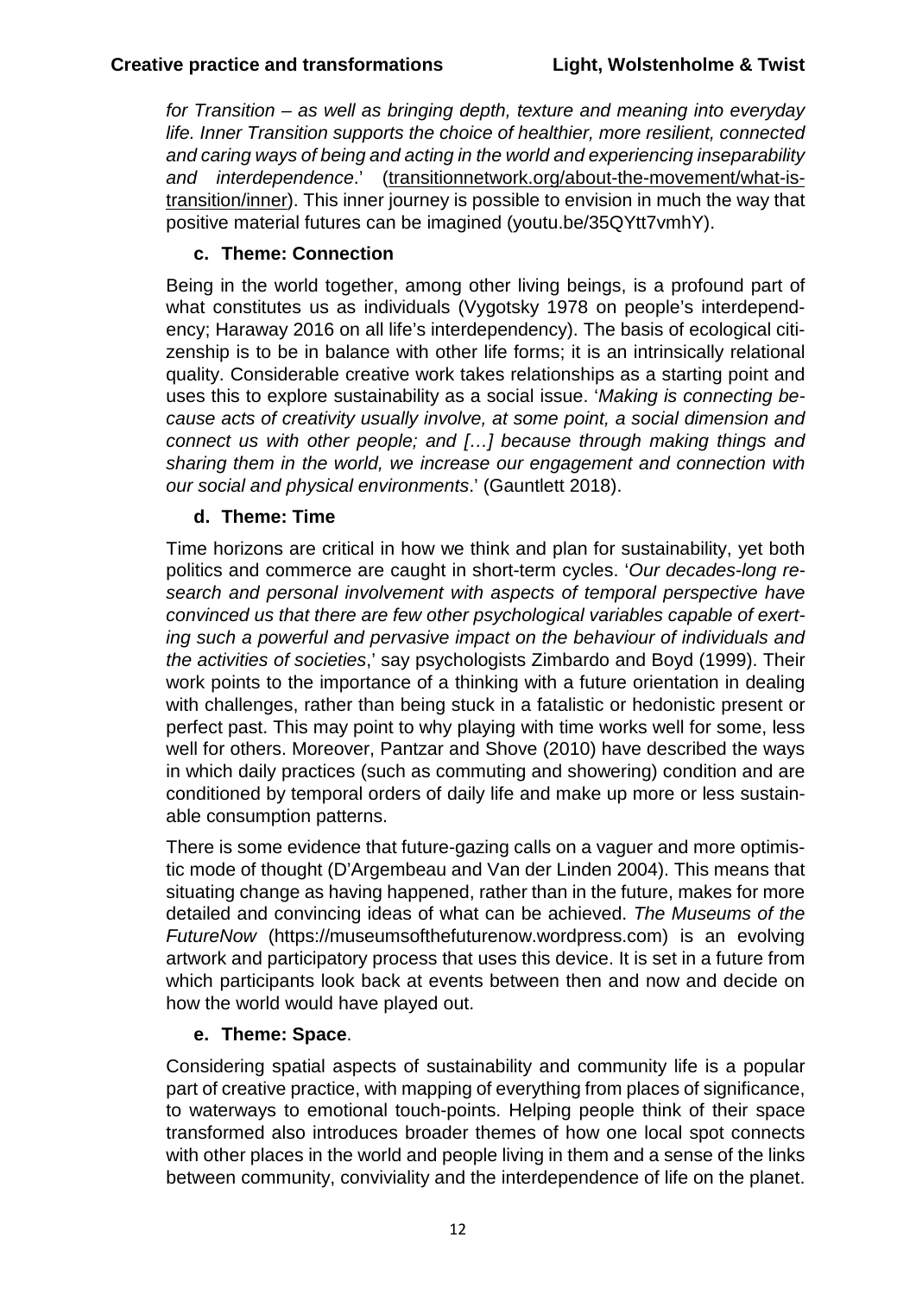*for Transition – as well as bringing depth, texture and meaning into everyday life. Inner Transition supports the choice of healthier, more resilient, connected and caring ways of being and acting in the world and experiencing inseparability and interdependence*.' (transitionnetwork.org/about-the-movement/what-istransition/inner). This inner journey is possible to envision in much the way that positive material futures can be imagined (youtu.be/35QYtt7vmhY).

# **c. Theme: Connection**

Being in the world together, among other living beings, is a profound part of what constitutes us as individuals (Vygotsky 1978 on people's interdependency; Haraway 2016 on all life's interdependency). The basis of ecological citizenship is to be in balance with other life forms; it is an intrinsically relational quality. Considerable creative work takes relationships as a starting point and uses this to explore sustainability as a social issue. '*Making is connecting because acts of creativity usually involve, at some point, a social dimension and connect us with other people; and […] because through making things and sharing them in the world, we increase our engagement and connection with our social and physical environments*.' (Gauntlett 2018).

#### **d. Theme: Time**

Time horizons are critical in how we think and plan for sustainability, yet both politics and commerce are caught in short-term cycles. '*Our decades-long research and personal involvement with aspects of temporal perspective have convinced us that there are few other psychological variables capable of exerting such a powerful and pervasive impact on the behaviour of individuals and the activities of societies*,' say psychologists Zimbardo and Boyd (1999). Their work points to the importance of a thinking with a future orientation in dealing with challenges, rather than being stuck in a fatalistic or hedonistic present or perfect past. This may point to why playing with time works well for some, less well for others. Moreover, Pantzar and Shove (2010) have described the ways in which daily practices (such as commuting and showering) condition and are conditioned by temporal orders of daily life and make up more or less sustainable consumption patterns.

There is some evidence that future-gazing calls on a vaguer and more optimistic mode of thought (D'Argembeau and Van der Linden 2004). This means that situating change as having happened, rather than in the future, makes for more detailed and convincing ideas of what can be achieved. *The Museums of the FutureNow* (https://museumsofthefuturenow.wordpress.com) is an evolving artwork and participatory process that uses this device. It is set in a future from which participants look back at events between then and now and decide on how the world would have played out.

#### **e. Theme: Space**.

Considering spatial aspects of sustainability and community life is a popular part of creative practice, with mapping of everything from places of significance, to waterways to emotional touch-points. Helping people think of their space transformed also introduces broader themes of how one local spot connects with other places in the world and people living in them and a sense of the links between community, conviviality and the interdependence of life on the planet.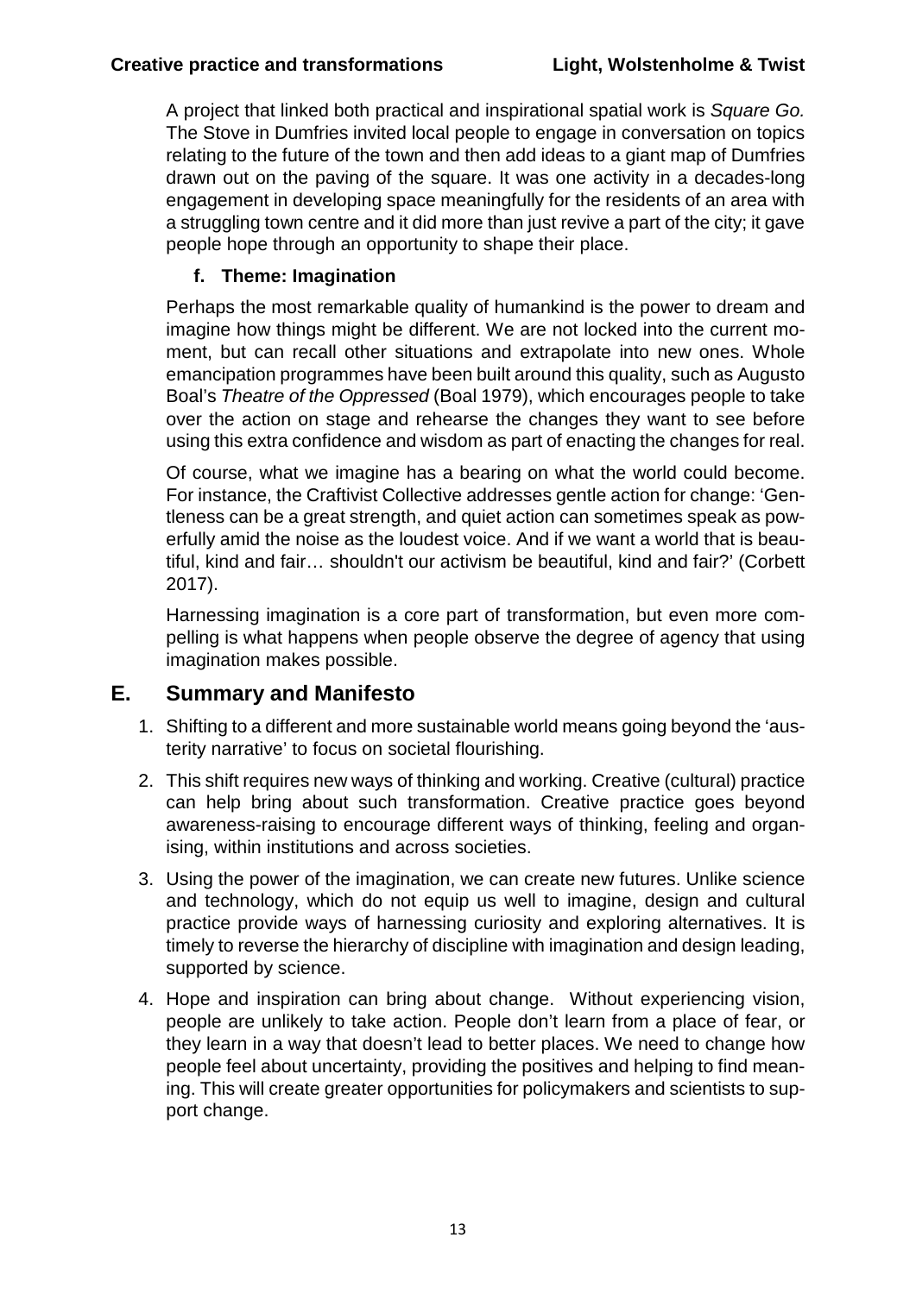A project that linked both practical and inspirational spatial work is *Square Go.* The Stove in Dumfries invited local people to engage in conversation on topics relating to the future of the town and then add ideas to a giant map of Dumfries drawn out on the paving of the square. It was one activity in a decades-long engagement in developing space meaningfully for the residents of an area with a struggling town centre and it did more than just revive a part of the city; it gave people hope through an opportunity to shape their place.

# **f. Theme: Imagination**

Perhaps the most remarkable quality of humankind is the power to dream and imagine how things might be different. We are not locked into the current moment, but can recall other situations and extrapolate into new ones. Whole emancipation programmes have been built around this quality, such as Augusto Boal's *Theatre of the Oppressed* (Boal 1979), which encourages people to take over the action on stage and rehearse the changes they want to see before using this extra confidence and wisdom as part of enacting the changes for real.

Of course, what we imagine has a bearing on what the world could become. For instance, the Craftivist Collective addresses gentle action for change: 'Gentleness can be a great strength, and quiet action can sometimes speak as powerfully amid the noise as the loudest voice. And if we want a world that is beautiful, kind and fair… shouldn't our activism be beautiful, kind and fair?' (Corbett 2017).

Harnessing imagination is a core part of transformation, but even more compelling is what happens when people observe the degree of agency that using imagination makes possible.

# <span id="page-13-0"></span>**E. Summary and Manifesto**

- 1. Shifting to a different and more sustainable world means going beyond the 'austerity narrative' to focus on societal flourishing.
- 2. This shift requires new ways of thinking and working. Creative (cultural) practice can help bring about such transformation. Creative practice goes beyond awareness-raising to encourage different ways of thinking, feeling and organising, within institutions and across societies.
- 3. Using the power of the imagination, we can create new futures. Unlike science and technology, which do not equip us well to imagine, design and cultural practice provide ways of harnessing curiosity and exploring alternatives. It is timely to reverse the hierarchy of discipline with imagination and design leading, supported by science.
- 4. Hope and inspiration can bring about change. Without experiencing vision, people are unlikely to take action. People don't learn from a place of fear, or they learn in a way that doesn't lead to better places. We need to change how people feel about uncertainty, providing the positives and helping to find meaning. This will create greater opportunities for policymakers and scientists to support change.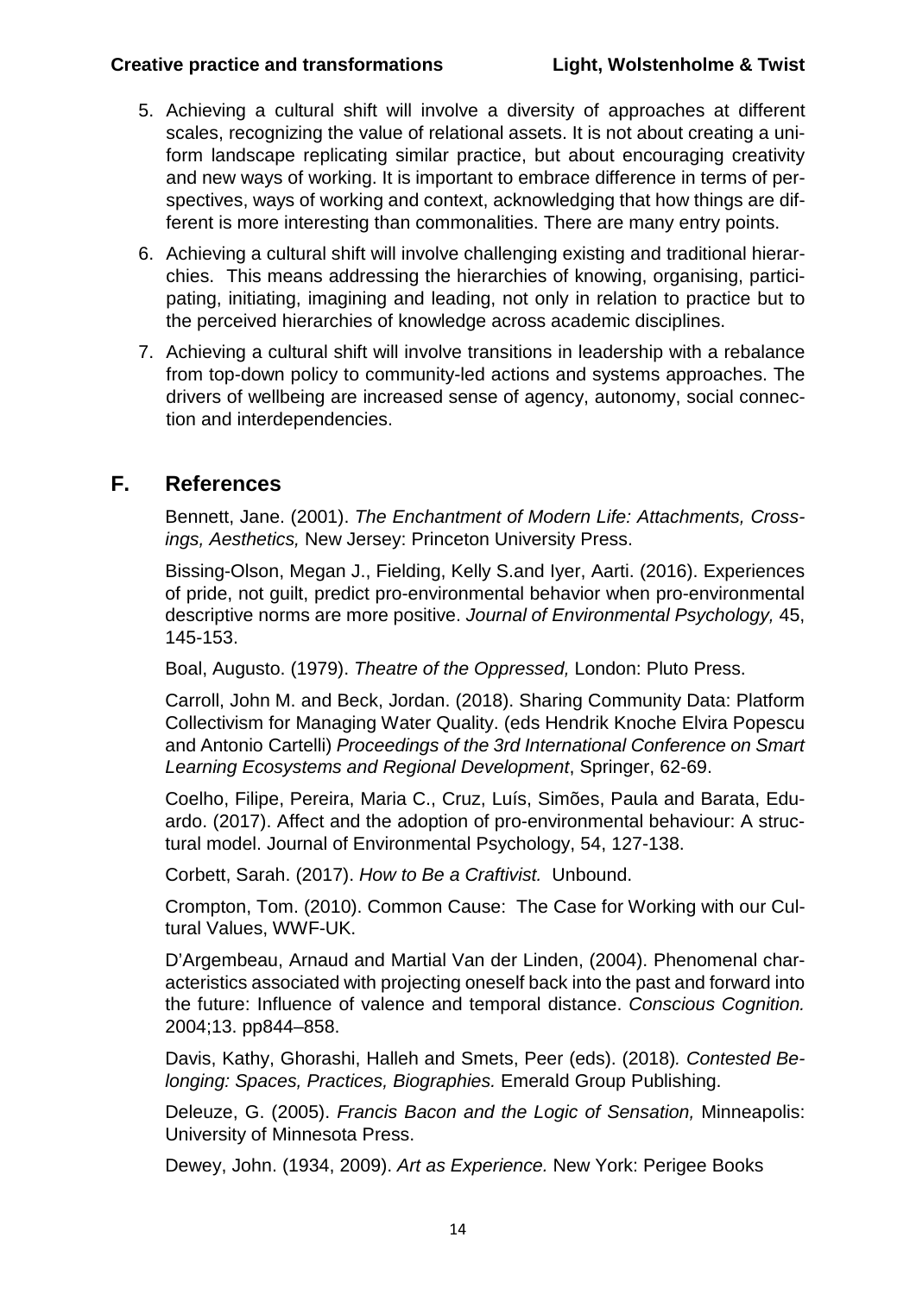#### **Creative practice and transformations Light, Wolstenholme & Twist**

- 5. Achieving a cultural shift will involve a diversity of approaches at different scales, recognizing the value of relational assets. It is not about creating a uniform landscape replicating similar practice, but about encouraging creativity and new ways of working. It is important to embrace difference in terms of perspectives, ways of working and context, acknowledging that how things are different is more interesting than commonalities. There are many entry points.
- 6. Achieving a cultural shift will involve challenging existing and traditional hierarchies. This means addressing the hierarchies of knowing, organising, participating, initiating, imagining and leading, not only in relation to practice but to the perceived hierarchies of knowledge across academic disciplines.
- 7. Achieving a cultural shift will involve transitions in leadership with a rebalance from top-down policy to community-led actions and systems approaches. The drivers of wellbeing are increased sense of agency, autonomy, social connection and interdependencies.

# <span id="page-14-0"></span>**F. References**

Bennett, Jane. (2001). *The Enchantment of Modern Life: Attachments, Crossings, Aesthetics,* New Jersey: Princeton University Press.

Bissing-Olson, Megan J., Fielding, Kelly S.and Iyer, Aarti. (2016). Experiences of pride, not guilt, predict pro-environmental behavior when pro-environmental descriptive norms are more positive. *Journal of Environmental Psychology,* 45, 145-153.

Boal, Augusto. (1979). *Theatre of the Oppressed,* London: Pluto Press.

Carroll, John M. and Beck, Jordan. (2018). Sharing Community Data: Platform Collectivism for Managing Water Quality. (eds Hendrik Knoche Elvira Popescu and Antonio Cartelli) *Proceedings of the 3rd International Conference on Smart Learning Ecosystems and Regional Development*, Springer, 62-69.

Coelho, Filipe, Pereira, Maria C., Cruz, Luís, Simões, Paula and Barata, Eduardo. (2017). Affect and the adoption of pro-environmental behaviour: A structural model. Journal of Environmental Psychology, 54, 127-138.

Corbett, Sarah. (2017). *How to Be a Craftivist.* Unbound.

Crompton, Tom. (2010). Common Cause: The Case for Working with our Cultural Values, WWF-UK.

D'Argembeau, Arnaud and Martial Van der Linden, (2004). Phenomenal characteristics associated with projecting oneself back into the past and forward into the future: Influence of valence and temporal distance. *Conscious Cognition.* 2004;13. pp844–858.

Davis, Kathy, Ghorashi, Halleh and Smets, Peer (eds). (2018)*. Contested Belonging: Spaces, Practices, Biographies.* Emerald Group Publishing.

Deleuze, G. (2005). *Francis Bacon and the Logic of Sensation,* Minneapolis: University of Minnesota Press.

Dewey, John. (1934, 2009). *Art as Experience.* New York: Perigee Books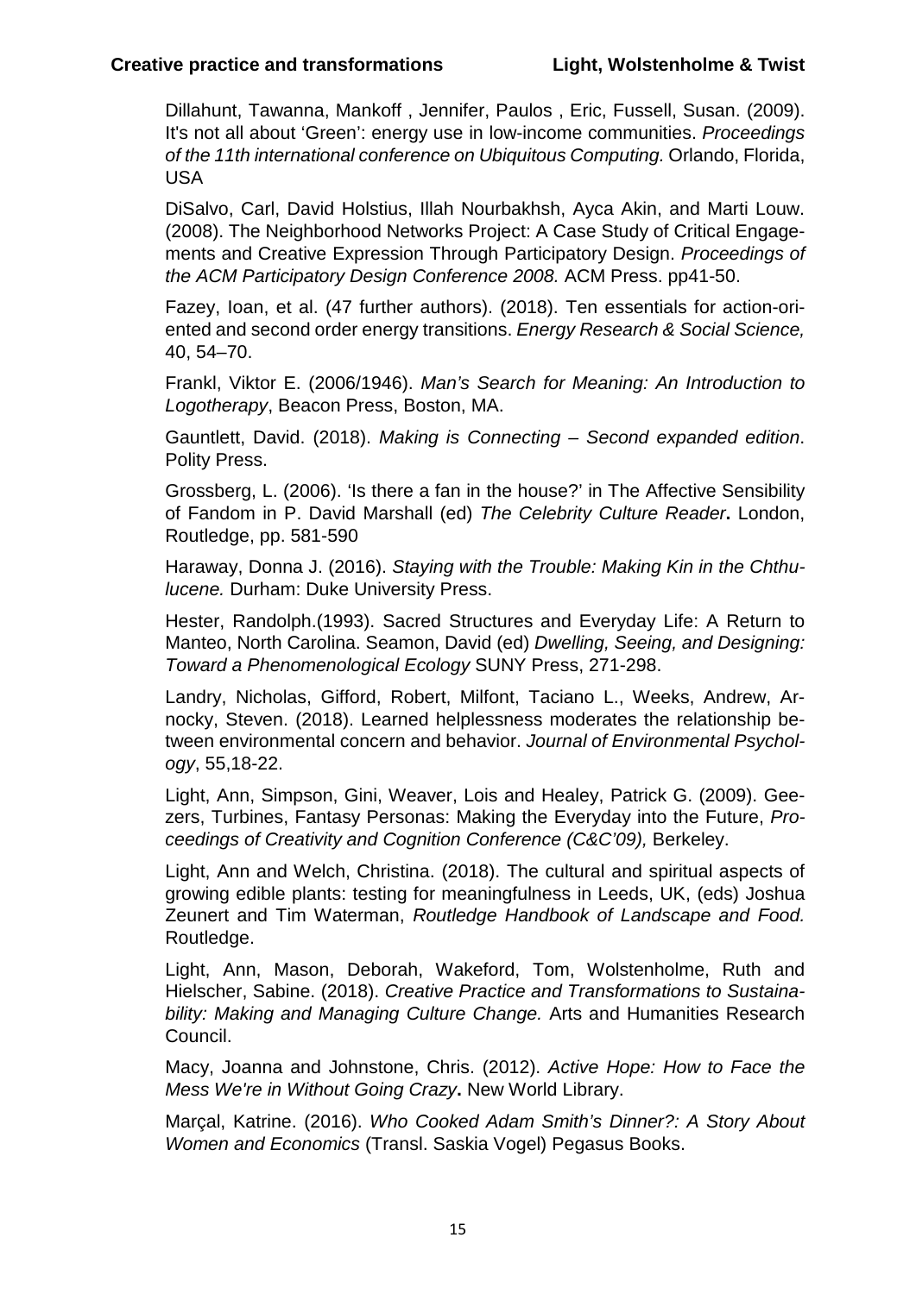Dillahunt, Tawanna, Mankoff , Jennifer, Paulos , Eric, Fussell, Susan. (2009). It's not all about 'Green': energy use in low-income communities. *Proceedings of the 11th international conference on Ubiquitous Computing.* Orlando, Florida, USA

DiSalvo, Carl, David Holstius, Illah Nourbakhsh, Ayca Akin, and Marti Louw. (2008). The Neighborhood Networks Project: A Case Study of Critical Engagements and Creative Expression Through Participatory Design. *Proceedings of the ACM Participatory Design Conference 2008.* ACM Press. pp41-50.

Fazey, Ioan, et al. (47 further authors). (2018). Ten essentials for action-oriented and second order energy transitions. *Energy Research & Social Science,* 40, 54–70.

Frankl, Viktor E. (2006/1946). *Man's Search for Meaning: An Introduction to Logotherapy*, Beacon Press, Boston, MA.

Gauntlett, David. (2018). *Making is Connecting – Second expanded edition*. Polity Press.

Grossberg, L. (2006). 'Is there a fan in the house?' in The Affective Sensibility of Fandom in P. David Marshall (ed) *The Celebrity Culture Reader***.** London, Routledge, pp. 581-590

Haraway, Donna J. (2016). *Staying with the Trouble: Making Kin in the Chthulucene.* Durham: Duke University Press.

Hester, Randolph.(1993). Sacred Structures and Everyday Life: A Return to Manteo, North Carolina. Seamon, David (ed) *Dwelling, Seeing, and Designing: Toward a Phenomenological Ecology* SUNY Press, 271-298.

Landry, Nicholas, Gifford, Robert, Milfont, Taciano L., Weeks, Andrew, Arnocky, Steven. (2018). Learned helplessness moderates the relationship between environmental concern and behavior. *Journal of Environmental Psychology*, 55,18-22.

Light, Ann, Simpson, Gini, Weaver, Lois and Healey, Patrick G. (2009). Geezers, Turbines, Fantasy Personas: Making the Everyday into the Future, *Proceedings of Creativity and Cognition Conference (C&C'09),* Berkeley.

Light, Ann and Welch, Christina. (2018). The cultural and spiritual aspects of growing edible plants: testing for meaningfulness in Leeds, UK, (eds) Joshua Zeunert and Tim Waterman, *Routledge Handbook of Landscape and Food.* Routledge.

Light, Ann, Mason, Deborah, Wakeford, Tom, Wolstenholme, Ruth and Hielscher, Sabine. (2018). *Creative Practice and Transformations to Sustainability: Making and Managing Culture Change.* Arts and Humanities Research Council.

Macy, Joanna and Johnstone, Chris. (2012). *Active Hope: How to Face the Mess We're in Without Going Crazy***.** New World Library.

Marçal, Katrine. (2016). *Who Cooked Adam Smith's Dinner?: A Story About Women and Economics* (Transl. Saskia Vogel) Pegasus Books.